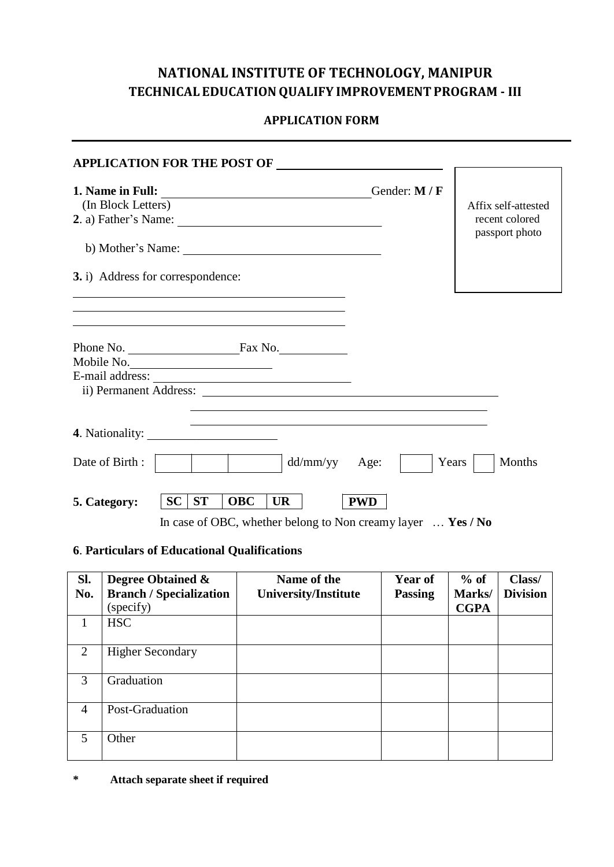# **NATIONAL INSTITUTE OF TECHNOLOGY, MANIPUR TECHNICAL EDUCATION QUALIFY IMPROVEMENT PROGRAM - III**

## **APPLICATION FORM**

| <b>APPLICATION FOR THE POST OF</b>                                                                                                                           |                                   |           |            |           |               |               |                                                         |        |
|--------------------------------------------------------------------------------------------------------------------------------------------------------------|-----------------------------------|-----------|------------|-----------|---------------|---------------|---------------------------------------------------------|--------|
| (In Block Letters)<br>2. a) Father's Name: $\frac{1}{\sqrt{1-\frac{1}{2}}\sqrt{1-\frac{1}{2}}\sqrt{1-\frac{1}{2}}\sqrt{1-\frac{1}{2}}\sqrt{1-\frac{1}{2}}}}$ |                                   |           |            |           |               | Gender: M / F | Affix self-attested<br>recent colored<br>passport photo |        |
|                                                                                                                                                              |                                   |           |            |           |               |               |                                                         |        |
|                                                                                                                                                              | 3. i) Address for correspondence: |           |            |           |               |               |                                                         |        |
|                                                                                                                                                              |                                   |           |            |           |               |               |                                                         |        |
|                                                                                                                                                              |                                   |           |            |           |               |               |                                                         |        |
| Mobile No.                                                                                                                                                   |                                   |           |            |           |               |               |                                                         |        |
|                                                                                                                                                              |                                   |           |            |           |               |               |                                                         |        |
|                                                                                                                                                              |                                   |           |            |           |               |               |                                                         |        |
| Date of Birth:                                                                                                                                               |                                   |           |            |           | dd/mm/yy Age: |               | Years                                                   | Months |
| 5. Category:                                                                                                                                                 | <b>SC</b>                         | <b>ST</b> | <b>OBC</b> | <b>UR</b> |               | <b>PWD</b>    |                                                         |        |

In case of OBC, whether belong to Non creamy layer … **Yes / No**

## **6**. **Particulars of Educational Qualifications**

| Sl.            | <b>Degree Obtained &amp;</b>   | Name of the                 | <b>Year of</b> | $%$ of      | Class/          |
|----------------|--------------------------------|-----------------------------|----------------|-------------|-----------------|
| No.            | <b>Branch / Specialization</b> | <b>University/Institute</b> | <b>Passing</b> | Marks/      | <b>Division</b> |
|                | (specify)                      |                             |                | <b>CGPA</b> |                 |
|                | <b>HSC</b>                     |                             |                |             |                 |
| $\overline{2}$ | <b>Higher Secondary</b>        |                             |                |             |                 |
| 3              | Graduation                     |                             |                |             |                 |
| $\overline{4}$ | Post-Graduation                |                             |                |             |                 |
| 5              | Other                          |                             |                |             |                 |

**\* Attach separate sheet if required**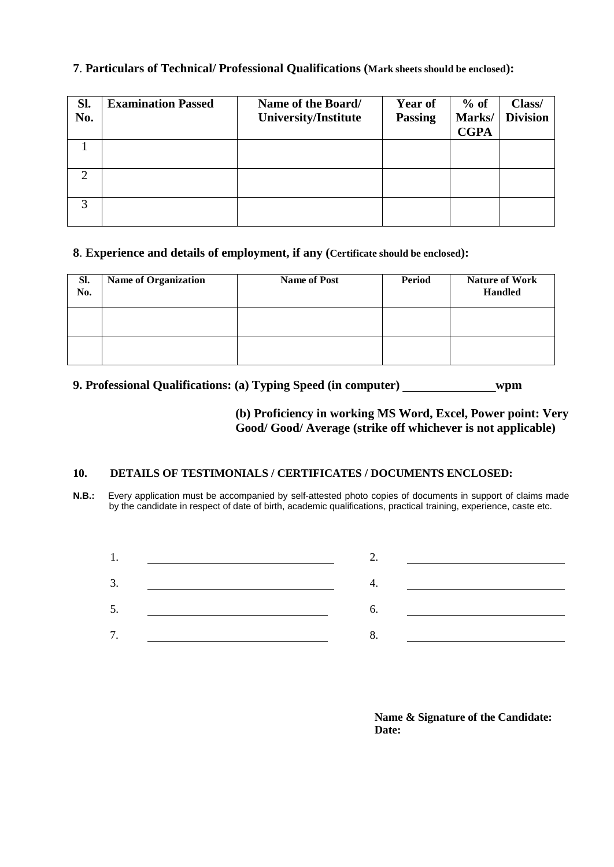| Sl.<br>No. | <b>Examination Passed</b> | Name of the Board/<br>University/Institute | <b>Year of</b><br><b>Passing</b> | $%$ of<br>Marks/<br><b>CGPA</b> | Class/<br><b>Division</b> |
|------------|---------------------------|--------------------------------------------|----------------------------------|---------------------------------|---------------------------|
|            |                           |                                            |                                  |                                 |                           |
|            |                           |                                            |                                  |                                 |                           |
| 3          |                           |                                            |                                  |                                 |                           |

## **7**. **Particulars of Technical/ Professional Qualifications (Mark sheets should be enclosed):**

#### **8**. **Experience and details of employment, if any (Certificate should be enclosed):**

| Sl.<br>No. | <b>Name of Organization</b> | <b>Name of Post</b> | <b>Period</b> | <b>Nature of Work</b><br><b>Handled</b> |
|------------|-----------------------------|---------------------|---------------|-----------------------------------------|
|            |                             |                     |               |                                         |
|            |                             |                     |               |                                         |

## **9. Professional Qualifications: (a) Typing Speed (in computer) wpm**

## **(b) Proficiency in working MS Word, Excel, Power point: Very Good/ Good/ Average (strike off whichever is not applicable)**

#### **10. DETAILS OF TESTIMONIALS / CERTIFICATES / DOCUMENTS ENCLOSED:**

**N.B.:** Every application must be accompanied by self-attested photo copies of documents in support of claims made by the candidate in respect of date of birth, academic qualifications, practical training, experience, caste etc.

| 3. |  | <u> 1980 - Jan Stein Stein Stein Stein Stein Stein Stein Stein Stein Stein Stein Stein Stein Stein Stein Stein S</u> |
|----|--|----------------------------------------------------------------------------------------------------------------------|
| 5. |  |                                                                                                                      |
| 7. |  |                                                                                                                      |
|    |  |                                                                                                                      |

**Name & Signature of the Candidate: Date:**